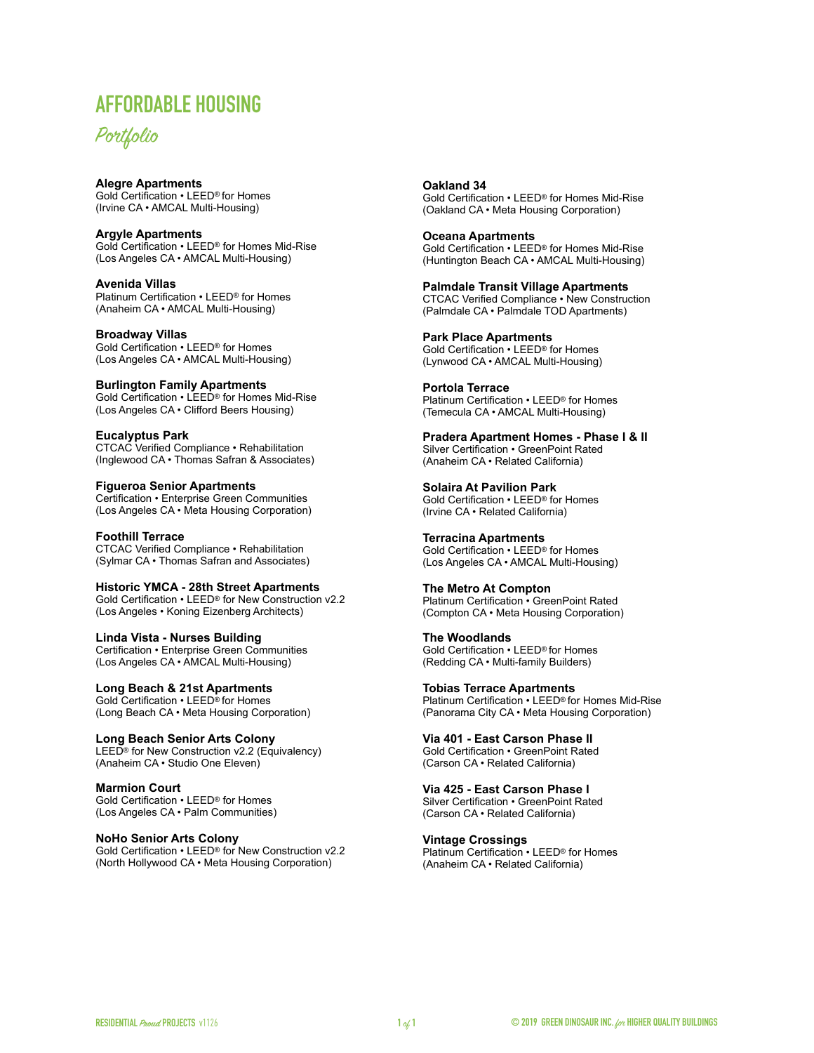# **AFFORDABLE HOUSING**

# Portfolio

# **[Alegre Apartments](http://www.gbig.org/buildings/601534)**

Gold Certification • LEED® for Homes (Irvine CA • AMCAL Multi-Housing)

**[Argyle Apartments](http://www.gbig.org/activities/leed-10779545)** Gold Certification • LEED® for Homes Mid-Rise (Los Angeles CA • AMCAL Multi-Housing)

**Avenida Villas** Platinum Certification • LEED® for Homes (Anaheim CA • AMCAL Multi-Housing)

**[Broadway Villas](http://www.gbig.org/activities/leed-10745107)** Gold Certification • LEED® for Homes (Los Angeles CA • AMCAL Multi-Housing)

**[Burlington Family Apartments](http://www.gbig.org/activities/leed-10787284)** Gold Certification • LEED® for Homes Mid-Rise (Los Angeles CA • Clifford Beers Housing)

**Eucalyptus Park** CTCAC Verified Compliance • Rehabilitation (Inglewood CA • Thomas Safran & Associates)

**[Figueroa Senior Apartments](http://www.gbig.org/buildings/783146/details)** Certification • Enterprise Green Communities (Los Angeles CA • Meta Housing Corporation)

**Foothill Terrace** CTCAC Verified Compliance • Rehabilitation (Sylmar CA • Thomas Safran and Associates)

**[Historic YMCA - 28th Street Apartments](http://www.gbig.org/buildings/23186/details)** Gold Certification • LEED® for New Construction v2.2 (Los Angeles • Koning Eizenberg Architects)

**Linda Vista - Nurses Building** Certification • Enterprise Green Communities (Los Angeles CA • AMCAL Multi-Housing)

[Long Beach & 21st Apartments](http://www.gbig.org/buildings/563500) Gold Certification • LEED® for Homes (Long Beach CA • Meta Housing Corporation)

**Long Beach Senior Arts Colony** LEED® for New Construction v2.2 (Equivalency) (Anaheim CA • Studio One Eleven)

**Marmion Court** Gold Certification • LEED® for Homes (Los Angeles CA • Palm Communities)

**[NoHo Senior Arts Colony](http://www.gbig.org/activities/leed-10344436)** 

Gold Certification • LEED® for New Construction v2.2 (North Hollywood CA • Meta Housing Corporation)

**[Oakland 34](http://www.gbig.org/activities/leed-10804233)** 

Gold Certification • LEED® for Homes Mid-Rise (Oakland CA • Meta Housing Corporation)

**[Oceana Apartments](http://www.gbig.org/buildings/98784)** Gold Certification • LEED® for Homes Mid-Rise (Huntington Beach CA • AMCAL Multi-Housing)

**Palmdale Transit Village Apartments** CTCAC Verified Compliance • New Construction (Palmdale CA • Palmdale TOD Apartments)

**[Park Place Apartments](http://www.gbig.org/buildings/962226/details)** Gold Certification • LEED® for Homes (Lynwood CA • AMCAL Multi-Housing)

**[Portola Terrace](http://www.gbig.org/buildings/962231)** Platinum Certification • LEED® for Homes (Temecula CA • AMCAL Multi-Housing)

**Pradera Apartment Homes - Phase I & II** Silver Certification • GreenPoint Rated (Anaheim CA • Related California)

**[Solaira At Pavilion Park](http://www.gbig.org/buildings/1042682)** Gold Certification • LEED® for Homes (Irvine CA • Related California)

**[Terracina Apartments](http://www.gbig.org/activities/leed-10778272)** Gold Certification • LEED® for Homes (Los Angeles CA • AMCAL Multi-Housing)

**[The Metro At Compton](http://www.greendinosaur.org/netzero/2015/03/10/the-metro-compton/)** Platinum Certification • GreenPoint Rated (Compton CA • Meta Housing Corporation)

**The Woodlands** Gold Certification • LEED® for Homes (Redding CA • Multi-family Builders)

**Tobias Terrace Apartments** Platinum Certification • LEED® for Homes Mid-Rise (Panorama City CA • Meta Housing Corporation)

**Via 401 - East Carson Phase II** Gold Certification • GreenPoint Rated (Carson CA • Related California)

**Via 425 - East Carson Phase I** Silver Certification • GreenPoint Rated (Carson CA • Related California)

**[Vintage Crossings](http://www.gbig.org/buildings/19155/details)** Platinum Certification • LEED® for Homes (Anaheim CA • Related California)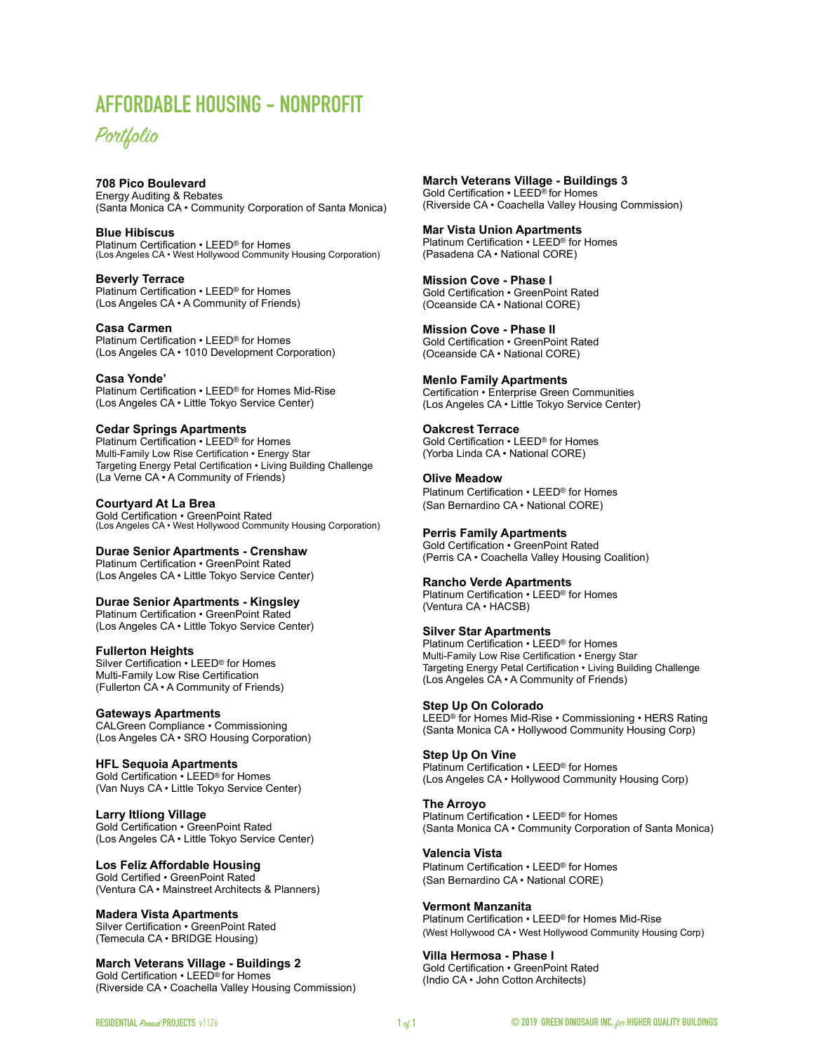# **AFFORDABLE HOUSING - NONPROFIT**



## **708 Pico Boulevard**

Energy Auditing & Rebates (Santa Monica CA • Community Corporation of Santa Monica)

**[Blue Hibiscus](http://www.gbig.org/buildings/1066273/details)** Platinum Certification • LEED® for Homes (Los Angeles CA • West Hollywood Community Housing Corporation)

**[Beverly Terrace](https://www.greendinosaur.org/beverly-terrace/)** Platinum Certification • LEED® for Homes (Los Angeles CA • A Community of Friends)

**[Casa Carmen](http://www.gbig.org/buildings/1066528/details)** 

Platinum Certification • LEED® for Homes (Los Angeles CA • 1010 Development Corporation)

#### **[Casa Yonde'](http://www.gbig.org/buildings/87255)**

Platinum Certification • LEED® for Homes Mid-Rise (Los Angeles CA • Little Tokyo Service Center)

#### **[Cedar Springs Apartments](http://www.gbig.org/buildings/87457/details)**

Platinum Certification • LEED® for Homes Multi-Family Low Rise Certification • Energy Star Targeting Energy Petal Certification • Living Building Challenge (La Verne CA • A Community of Friends)

#### **Courtyard At La Brea**

Gold Certification • GreenPoint Rated (Los Angeles CA • West Hollywood Community Housing Corporation)

#### **Durae Senior Apartments - Crenshaw**

Platinum Certification • GreenPoint Rated (Los Angeles CA • Little Tokyo Service Center)

#### **Durae Senior Apartments - Kingsley**

Platinum Certification • GreenPoint Rated (Los Angeles CA • Little Tokyo Service Center)

**Fullerton Heights** 

Silver Certification • LEED® for Homes Multi-Family Low Rise Certification (Fullerton CA • A Community of Friends)

#### **[Gateways Apartments](http://www.gbig.org/buildings/16290)**

CALGreen Compliance • Commissioning (Los Angeles CA • SRO Housing Corporation)

#### **[HFL Sequoia Apartments](http://www.gbig.org/buildings/962356)**

Gold Certification • LEED® for Homes (Van Nuys CA • Little Tokyo Service Center)

**Larry Itliong Village** 

Gold Certification • GreenPoint Rated (Los Angeles CA • Little Tokyo Service Center)

#### **Los Feliz Affordable Housing**

Gold Certified • GreenPoint Rated (Ventura CA • Mainstreet Architects & Planners)

## **Madera Vista Apartments**

Silver Certification • GreenPoint Rated (Temecula CA • BRIDGE Housing)

**March Veterans Village - Buildings 2** Gold Certification • LEED® for Homes (Riverside CA • Coachella Valley Housing Commission) **March Veterans Village - Buildings 3** Gold Certification • LEED® for Homes (Riverside CA • Coachella Valley Housing Commission)

**[Mar Vista Union Apartments](http://www.gbig.org/buildings/1008643/details)** Platinum Certification • LEED® for Homes (Pasadena CA • National CORE)

**Mission Cove - Phase I** Gold Certification • GreenPoint Rated (Oceanside CA • National CORE)

**Mission Cove - Phase II** Gold Certification • GreenPoint Rated (Oceanside CA • National CORE)

#### **[Menlo Family Apartments](http://www.gbig.org/buildings/799824/details)**

Certification • Enterprise Green Communities (Los Angeles CA • Little Tokyo Service Center)

#### **Oakcrest Terrace**

Gold Certification • LEED® for Homes (Yorba Linda CA • National CORE)

### **[Olive Meadow](http://www.gbig.org/buildings/1265292/neighborhood)**

Platinum Certification • LEED® for Homes (San Bernardino CA • National CORE)

#### **Perris Family Apartments**

Gold Certification • GreenPoint Rated (Perris CA • Coachella Valley Housing Coalition)

#### **[Rancho Verde Apartments](http://www.gbig.org/activities/leed-1000059055)**

Platinum Certification • LEED® for Homes (Ventura CA • HACSB)

#### **[Silver Star Apartments](https://www.youtube.com/watch?v=H9wxYPI_K_o&list=PLc-vxpBvLYCgH5r6ThPv7sD2J1yervuTr)**

Platinum Certification • LEED® for Homes Multi-Family Low Rise Certification • Energy Star Targeting Energy Petal Certification • Living Building Challenge (Los Angeles CA • A Community of Friends)

#### **Step Up On Colorado**

LEED® for Homes Mid-Rise • Commissioning • HERS Rating (Santa Monica CA • Hollywood Community Housing Corp)

#### **Step Up On Vine**

Platinum Certification • LEED® for Homes (Los Angeles CA • Hollywood Community Housing Corp)

#### **[The Arroyo](http://www.gbig.org/buildings/1066464/details)**

Platinum Certification • LEED® for Homes (Santa Monica CA • Community Corporation of Santa Monica)

#### **Valencia Vista**

Platinum Certification • LEED® for Homes (San Bernardino CA • National CORE)

#### **[Vermont Manzanita](http://www.gbig.org/buildings/970905)**

Platinum Certification • LEED® for Homes Mid-Rise (West Hollywood CA • West Hollywood Community Housing Corp)

#### **Villa Hermosa - Phase I**

Gold Certification • GreenPoint Rated (Indio CA • John Cotton Architects)